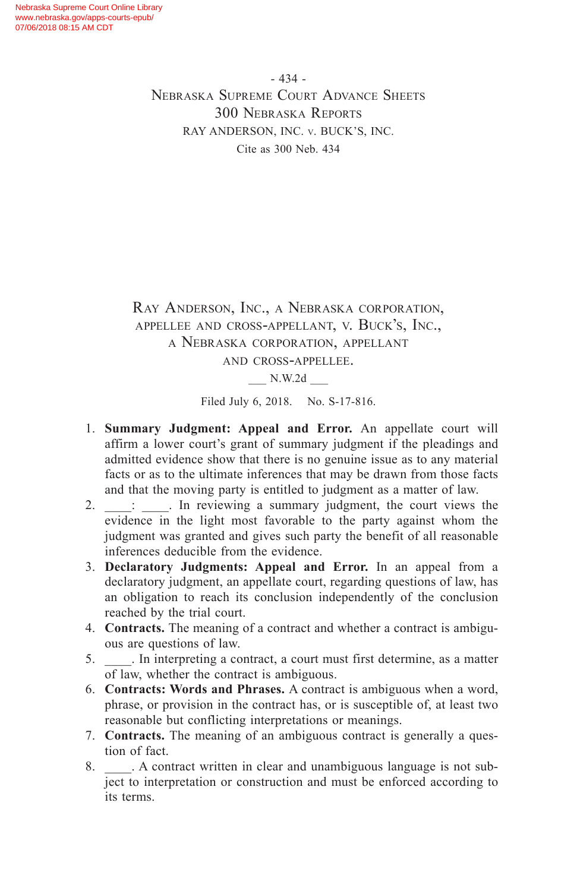- 434 - Nebraska Supreme Court Advance Sheets 300 Nebraska Reports RAY ANDERSON, INC. v. BUCK'S, INC. Cite as 300 Neb. 434

Ray Anderson, Inc., a Nebraska corporation, appellee and cross-appellant, v. Buck's, Inc., a Nebraska corporation, appellant and cross-appellee.

\_\_\_ N.W.2d \_\_\_

Filed July 6, 2018. No. S-17-816.

- 1. **Summary Judgment: Appeal and Error.** An appellate court will affirm a lower court's grant of summary judgment if the pleadings and admitted evidence show that there is no genuine issue as to any material facts or as to the ultimate inferences that may be drawn from those facts and that the moving party is entitled to judgment as a matter of law.
- 2. \_\_\_\_: \_\_\_\_. In reviewing a summary judgment, the court views the evidence in the light most favorable to the party against whom the judgment was granted and gives such party the benefit of all reasonable inferences deducible from the evidence.
- 3. **Declaratory Judgments: Appeal and Error.** In an appeal from a declaratory judgment, an appellate court, regarding questions of law, has an obligation to reach its conclusion independently of the conclusion reached by the trial court.
- 4. **Contracts.** The meaning of a contract and whether a contract is ambiguous are questions of law.
- 5. \_\_\_\_. In interpreting a contract, a court must first determine, as a matter of law, whether the contract is ambiguous.
- 6. **Contracts: Words and Phrases.** A contract is ambiguous when a word, phrase, or provision in the contract has, or is susceptible of, at least two reasonable but conflicting interpretations or meanings.
- 7. **Contracts.** The meaning of an ambiguous contract is generally a question of fact.
- 8. A contract written in clear and unambiguous language is not subject to interpretation or construction and must be enforced according to its terms.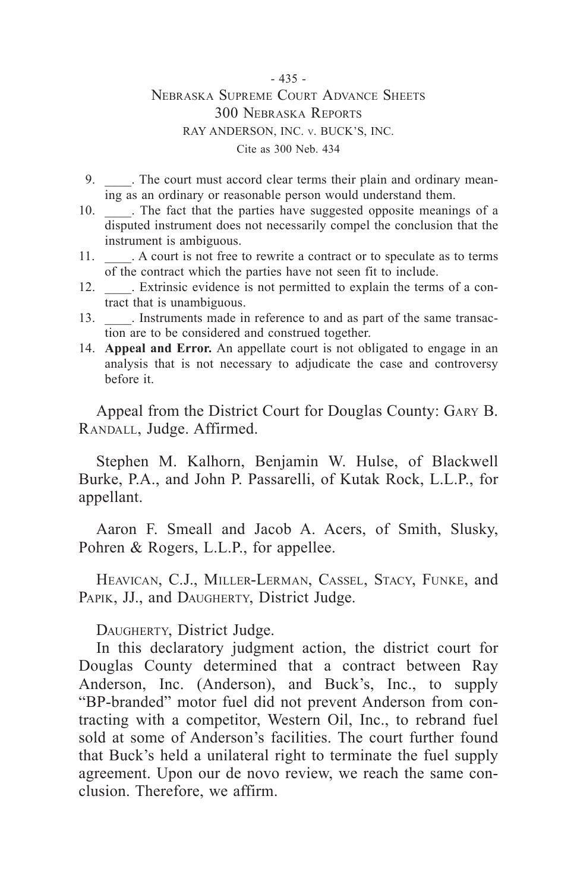#### - 435 -

### Nebraska Supreme Court Advance Sheets 300 Nebraska Reports RAY ANDERSON, INC. v. BUCK'S, INC. Cite as 300 Neb. 434

- 9. The court must accord clear terms their plain and ordinary meaning as an ordinary or reasonable person would understand them.
- 10. The fact that the parties have suggested opposite meanings of a disputed instrument does not necessarily compel the conclusion that the instrument is ambiguous.
- 11. A court is not free to rewrite a contract or to speculate as to terms of the contract which the parties have not seen fit to include.
- 12. Extrinsic evidence is not permitted to explain the terms of a contract that is unambiguous.
- 13. Instruments made in reference to and as part of the same transaction are to be considered and construed together.
- 14. **Appeal and Error.** An appellate court is not obligated to engage in an analysis that is not necessary to adjudicate the case and controversy before it.

Appeal from the District Court for Douglas County: Gary B. Randall, Judge. Affirmed.

Stephen M. Kalhorn, Benjamin W. Hulse, of Blackwell Burke, P.A., and John P. Passarelli, of Kutak Rock, L.L.P., for appellant.

Aaron F. Smeall and Jacob A. Acers, of Smith, Slusky, Pohren & Rogers, L.L.P., for appellee.

Heavican, C.J., Miller-Lerman, Cassel, Stacy, Funke, and PAPIK, JJ., and DAUGHERTY, District Judge.

DAUGHERTY, District Judge.

In this declaratory judgment action, the district court for Douglas County determined that a contract between Ray Anderson, Inc. (Anderson), and Buck's, Inc., to supply "BP-branded" motor fuel did not prevent Anderson from contracting with a competitor, Western Oil, Inc., to rebrand fuel sold at some of Anderson's facilities. The court further found that Buck's held a unilateral right to terminate the fuel supply agreement. Upon our de novo review, we reach the same conclusion. Therefore, we affirm.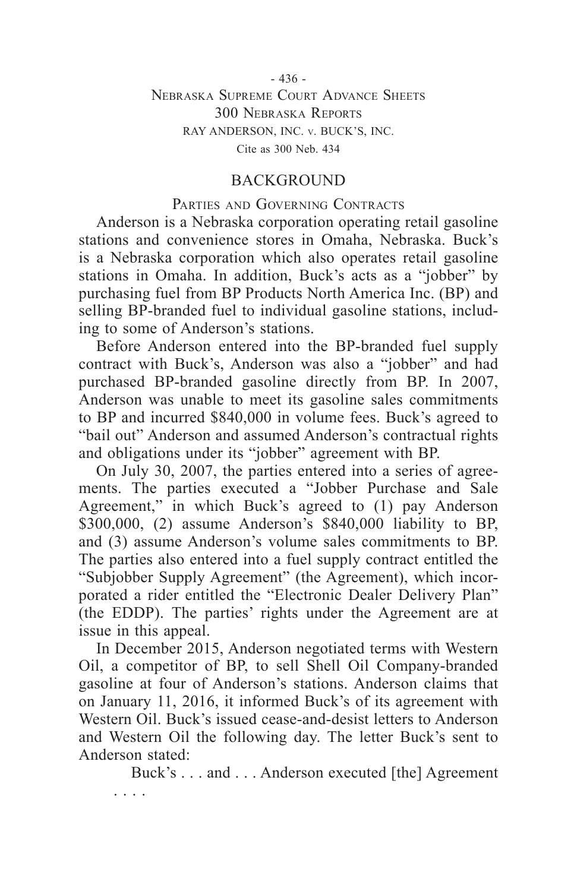### - 436 - Nebraska Supreme Court Advance Sheets 300 Nebraska Reports RAY ANDERSON, INC. v. BUCK'S, INC. Cite as 300 Neb. 434

## BACKGROUND

### PARTIES AND GOVERNING CONTRACTS

Anderson is a Nebraska corporation operating retail gasoline stations and convenience stores in Omaha, Nebraska. Buck's is a Nebraska corporation which also operates retail gasoline stations in Omaha. In addition, Buck's acts as a "jobber" by purchasing fuel from BP Products North America Inc. (BP) and selling BP-branded fuel to individual gasoline stations, including to some of Anderson's stations.

Before Anderson entered into the BP-branded fuel supply contract with Buck's, Anderson was also a "jobber" and had purchased BP-branded gasoline directly from BP. In 2007, Anderson was unable to meet its gasoline sales commitments to BP and incurred \$840,000 in volume fees. Buck's agreed to "bail out" Anderson and assumed Anderson's contractual rights and obligations under its "jobber" agreement with BP.

On July 30, 2007, the parties entered into a series of agreements. The parties executed a "Jobber Purchase and Sale Agreement," in which Buck's agreed to (1) pay Anderson \$300,000, (2) assume Anderson's \$840,000 liability to BP, and (3) assume Anderson's volume sales commitments to BP. The parties also entered into a fuel supply contract entitled the "Subjobber Supply Agreement" (the Agreement), which incorporated a rider entitled the "Electronic Dealer Delivery Plan" (the EDDP). The parties' rights under the Agreement are at issue in this appeal.

In December 2015, Anderson negotiated terms with Western Oil, a competitor of BP, to sell Shell Oil Company-branded gasoline at four of Anderson's stations. Anderson claims that on January 11, 2016, it informed Buck's of its agreement with Western Oil. Buck's issued cease-and-desist letters to Anderson and Western Oil the following day. The letter Buck's sent to Anderson stated:

Buck's . . . and . . . Anderson executed [the] Agreement . . . .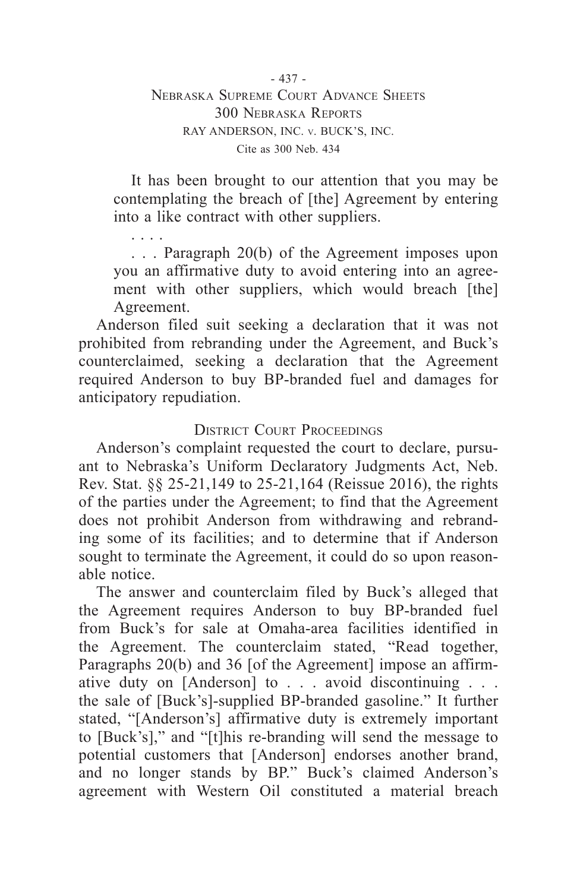It has been brought to our attention that you may be contemplating the breach of [the] Agreement by entering into a like contract with other suppliers.

. . . . . . . Paragraph 20(b) of the Agreement imposes upon you an affirmative duty to avoid entering into an agreement with other suppliers, which would breach [the] Agreement.

Anderson filed suit seeking a declaration that it was not prohibited from rebranding under the Agreement, and Buck's counterclaimed, seeking a declaration that the Agreement required Anderson to buy BP-branded fuel and damages for anticipatory repudiation.

# District Court Proceedings

Anderson's complaint requested the court to declare, pursuant to Nebraska's Uniform Declaratory Judgments Act, Neb. Rev. Stat. §§ 25-21,149 to 25-21,164 (Reissue 2016), the rights of the parties under the Agreement; to find that the Agreement does not prohibit Anderson from withdrawing and rebranding some of its facilities; and to determine that if Anderson sought to terminate the Agreement, it could do so upon reasonable notice.

The answer and counterclaim filed by Buck's alleged that the Agreement requires Anderson to buy BP-branded fuel from Buck's for sale at Omaha-area facilities identified in the Agreement. The counterclaim stated, "Read together, Paragraphs 20(b) and 36 [of the Agreement] impose an affirmative duty on [Anderson] to . . . avoid discontinuing . . . the sale of [Buck's]-supplied BP-branded gasoline." It further stated, "[Anderson's] affirmative duty is extremely important to [Buck's]," and "[t]his re-branding will send the message to potential customers that [Anderson] endorses another brand, and no longer stands by BP." Buck's claimed Anderson's agreement with Western Oil constituted a material breach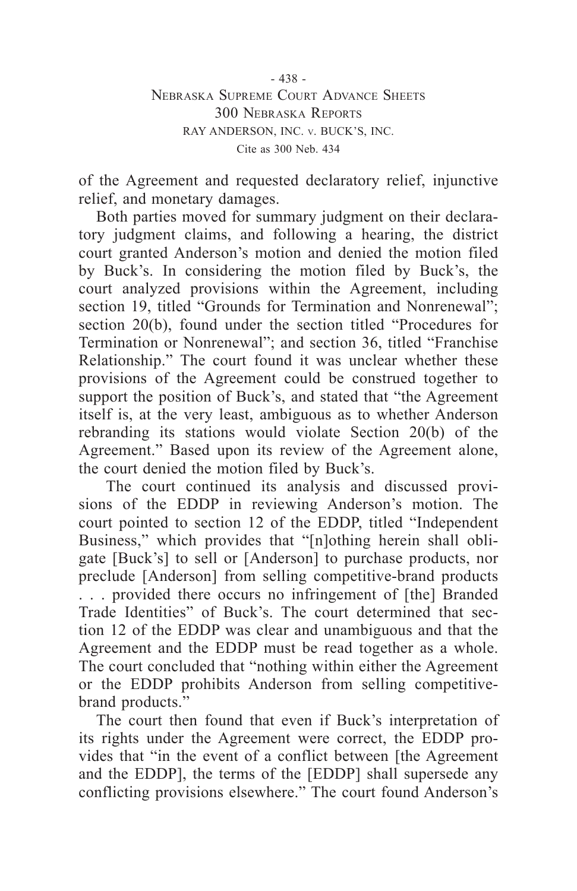of the Agreement and requested declaratory relief, injunctive relief, and monetary damages.

Both parties moved for summary judgment on their declaratory judgment claims, and following a hearing, the district court granted Anderson's motion and denied the motion filed by Buck's. In considering the motion filed by Buck's, the court analyzed provisions within the Agreement, including section 19, titled "Grounds for Termination and Nonrenewal"; section 20(b), found under the section titled "Procedures for Termination or Nonrenewal"; and section 36, titled "Franchise Relationship." The court found it was unclear whether these provisions of the Agreement could be construed together to support the position of Buck's, and stated that "the Agreement itself is, at the very least, ambiguous as to whether Anderson rebranding its stations would violate Section 20(b) of the Agreement." Based upon its review of the Agreement alone, the court denied the motion filed by Buck's.

 The court continued its analysis and discussed provisions of the EDDP in reviewing Anderson's motion. The court pointed to section 12 of the EDDP, titled "Independent Business," which provides that "[n]othing herein shall obligate [Buck's] to sell or [Anderson] to purchase products, nor preclude [Anderson] from selling competitive-brand products . . . provided there occurs no infringement of [the] Branded Trade Identities" of Buck's. The court determined that section 12 of the EDDP was clear and unambiguous and that the Agreement and the EDDP must be read together as a whole. The court concluded that "nothing within either the Agreement or the EDDP prohibits Anderson from selling competitivebrand products."

The court then found that even if Buck's interpretation of its rights under the Agreement were correct, the EDDP provides that "in the event of a conflict between [the Agreement and the EDDP], the terms of the [EDDP] shall supersede any conflicting provisions elsewhere." The court found Anderson's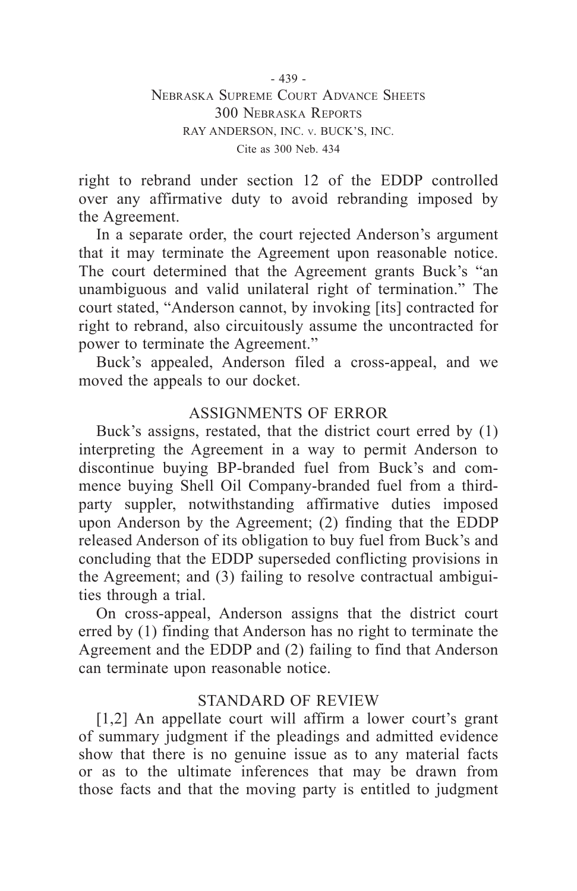right to rebrand under section 12 of the EDDP controlled over any affirmative duty to avoid rebranding imposed by the Agreement.

In a separate order, the court rejected Anderson's argument that it may terminate the Agreement upon reasonable notice. The court determined that the Agreement grants Buck's "an unambiguous and valid unilateral right of termination." The court stated, "Anderson cannot, by invoking [its] contracted for right to rebrand, also circuitously assume the uncontracted for power to terminate the Agreement."

Buck's appealed, Anderson filed a cross-appeal, and we moved the appeals to our docket.

# ASSIGNMENTS OF ERROR

Buck's assigns, restated, that the district court erred by (1) interpreting the Agreement in a way to permit Anderson to discontinue buying BP-branded fuel from Buck's and commence buying Shell Oil Company-branded fuel from a thirdparty suppler, notwithstanding affirmative duties imposed upon Anderson by the Agreement; (2) finding that the EDDP released Anderson of its obligation to buy fuel from Buck's and concluding that the EDDP superseded conflicting provisions in the Agreement; and (3) failing to resolve contractual ambiguities through a trial.

On cross-appeal, Anderson assigns that the district court erred by (1) finding that Anderson has no right to terminate the Agreement and the EDDP and (2) failing to find that Anderson can terminate upon reasonable notice.

## STANDARD OF REVIEW

[1,2] An appellate court will affirm a lower court's grant of summary judgment if the pleadings and admitted evidence show that there is no genuine issue as to any material facts or as to the ultimate inferences that may be drawn from those facts and that the moving party is entitled to judgment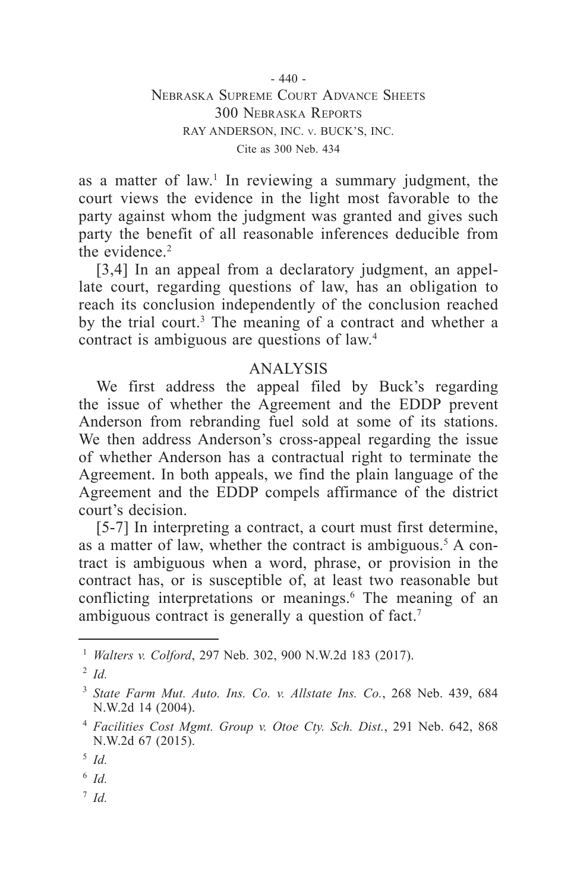as a matter of law.<sup>1</sup> In reviewing a summary judgment, the court views the evidence in the light most favorable to the party against whom the judgment was granted and gives such party the benefit of all reasonable inferences deducible from the evidence  $2$ 

[3,4] In an appeal from a declaratory judgment, an appellate court, regarding questions of law, has an obligation to reach its conclusion independently of the conclusion reached by the trial court.<sup>3</sup> The meaning of a contract and whether a contract is ambiguous are questions of law.4

## ANALYSIS

We first address the appeal filed by Buck's regarding the issue of whether the Agreement and the EDDP prevent Anderson from rebranding fuel sold at some of its stations. We then address Anderson's cross-appeal regarding the issue of whether Anderson has a contractual right to terminate the Agreement. In both appeals, we find the plain language of the Agreement and the EDDP compels affirmance of the district court's decision.

[5-7] In interpreting a contract, a court must first determine, as a matter of law, whether the contract is ambiguous.<sup>5</sup> A contract is ambiguous when a word, phrase, or provision in the contract has, or is susceptible of, at least two reasonable but conflicting interpretations or meanings.<sup>6</sup> The meaning of an ambiguous contract is generally a question of fact.<sup>7</sup>

<sup>2</sup> *Id.*

- <sup>6</sup> *Id.*
- <sup>7</sup> *Id.*

<sup>1</sup> *Walters v. Colford*, 297 Neb. 302, 900 N.W.2d 183 (2017).

<sup>3</sup> *State Farm Mut. Auto. Ins. Co. v. Allstate Ins. Co.*, 268 Neb. 439, 684 N.W.2d 14 (2004).

<sup>4</sup> *Facilities Cost Mgmt. Group v. Otoe Cty. Sch. Dist.*, 291 Neb. 642, 868 N.W.2d 67 (2015).

<sup>5</sup> *Id.*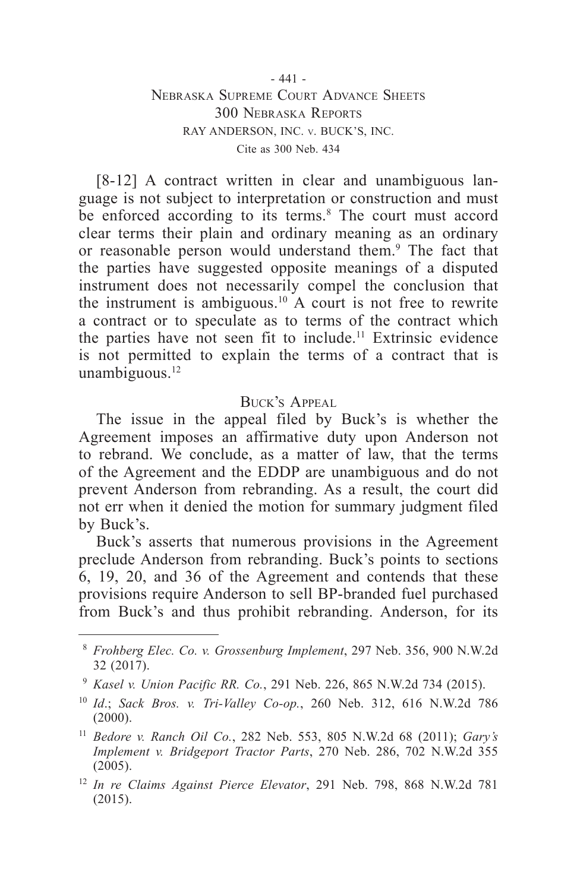[8-12] A contract written in clear and unambiguous language is not subject to interpretation or construction and must be enforced according to its terms.<sup>8</sup> The court must accord clear terms their plain and ordinary meaning as an ordinary or reasonable person would understand them.<sup>9</sup> The fact that the parties have suggested opposite meanings of a disputed instrument does not necessarily compel the conclusion that the instrument is ambiguous.10 A court is not free to rewrite a contract or to speculate as to terms of the contract which the parties have not seen fit to include.11 Extrinsic evidence is not permitted to explain the terms of a contract that is unambiguous.<sup>12</sup>

### BUCK'S APPEAL

The issue in the appeal filed by Buck's is whether the Agreement imposes an affirmative duty upon Anderson not to rebrand. We conclude, as a matter of law, that the terms of the Agreement and the EDDP are unambiguous and do not prevent Anderson from rebranding. As a result, the court did not err when it denied the motion for summary judgment filed by Buck's.

Buck's asserts that numerous provisions in the Agreement preclude Anderson from rebranding. Buck's points to sections 6, 19, 20, and 36 of the Agreement and contends that these provisions require Anderson to sell BP-branded fuel purchased from Buck's and thus prohibit rebranding. Anderson, for its

<sup>8</sup> *Frohberg Elec. Co. v. Grossenburg Implement*, 297 Neb. 356, 900 N.W.2d 32 (2017).

<sup>9</sup> *Kasel v. Union Pacific RR. Co.*, 291 Neb. 226, 865 N.W.2d 734 (2015).

<sup>10</sup> *Id*.; *Sack Bros. v. Tri-Valley Co-op.*, 260 Neb. 312, 616 N.W.2d 786  $(2000)$ .

<sup>11</sup> *Bedore v. Ranch Oil Co.*, 282 Neb. 553, 805 N.W.2d 68 (2011); *Gary's Implement v. Bridgeport Tractor Parts*, 270 Neb. 286, 702 N.W.2d 355  $(2005)$ .

<sup>12</sup> *In re Claims Against Pierce Elevator*, 291 Neb. 798, 868 N.W.2d 781 (2015).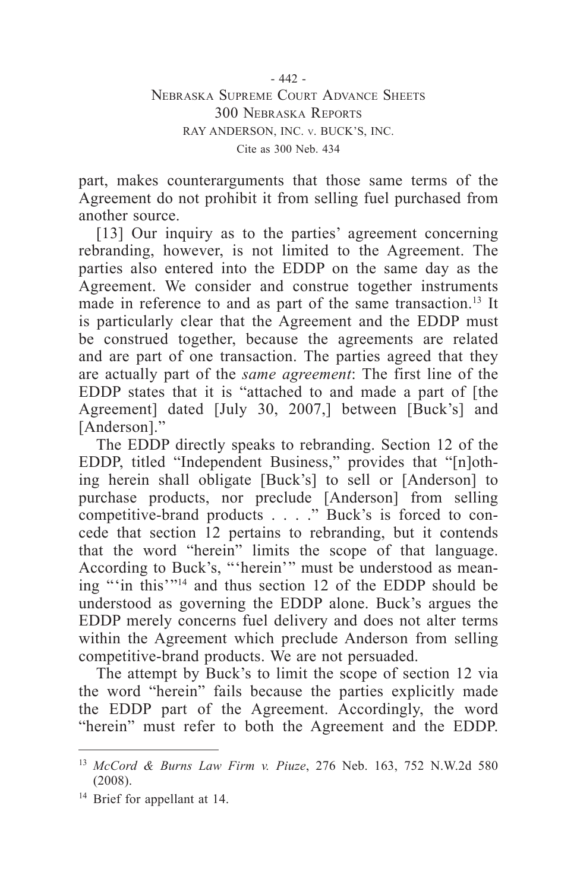part, makes counterarguments that those same terms of the Agreement do not prohibit it from selling fuel purchased from another source.

[13] Our inquiry as to the parties' agreement concerning rebranding, however, is not limited to the Agreement. The parties also entered into the EDDP on the same day as the Agreement. We consider and construe together instruments made in reference to and as part of the same transaction.<sup>13</sup> It is particularly clear that the Agreement and the EDDP must be construed together, because the agreements are related and are part of one transaction. The parties agreed that they are actually part of the *same agreement*: The first line of the EDDP states that it is "attached to and made a part of [the Agreement] dated [July 30, 2007,] between [Buck's] and [Anderson]."

The EDDP directly speaks to rebranding. Section 12 of the EDDP, titled "Independent Business," provides that "[n]othing herein shall obligate [Buck's] to sell or [Anderson] to purchase products, nor preclude [Anderson] from selling competitive-brand products . . . ." Buck's is forced to concede that section 12 pertains to rebranding, but it contends that the word "herein" limits the scope of that language. According to Buck's, "'herein'" must be understood as meaning "'in this'"14 and thus section 12 of the EDDP should be understood as governing the EDDP alone. Buck's argues the EDDP merely concerns fuel delivery and does not alter terms within the Agreement which preclude Anderson from selling competitive-brand products. We are not persuaded.

The attempt by Buck's to limit the scope of section 12 via the word "herein" fails because the parties explicitly made the EDDP part of the Agreement. Accordingly, the word "herein" must refer to both the Agreement and the EDDP.

<sup>13</sup> *McCord & Burns Law Firm v. Piuze*, 276 Neb. 163, 752 N.W.2d 580 (2008).

<sup>&</sup>lt;sup>14</sup> Brief for appellant at 14.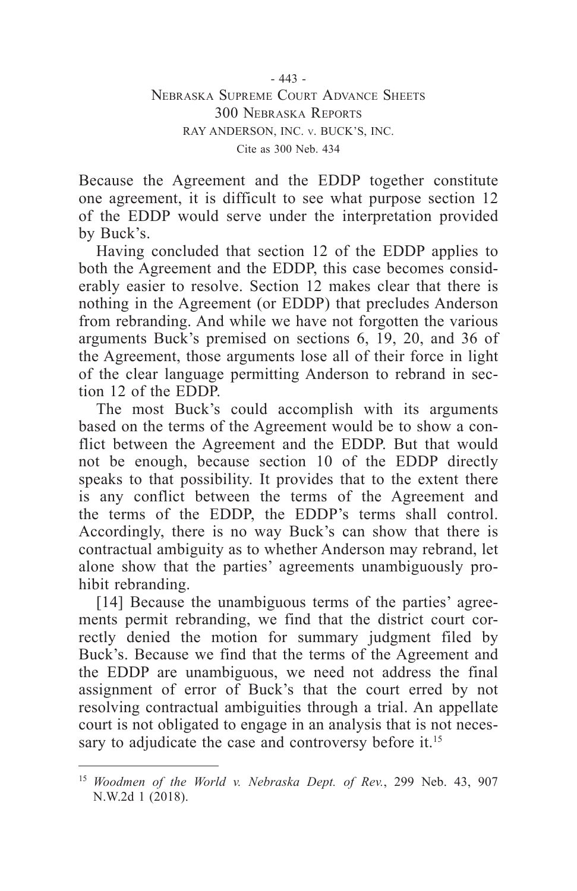Because the Agreement and the EDDP together constitute one agreement, it is difficult to see what purpose section 12 of the EDDP would serve under the interpretation provided by Buck's.

Having concluded that section 12 of the EDDP applies to both the Agreement and the EDDP, this case becomes considerably easier to resolve. Section 12 makes clear that there is nothing in the Agreement (or EDDP) that precludes Anderson from rebranding. And while we have not forgotten the various arguments Buck's premised on sections 6, 19, 20, and 36 of the Agreement, those arguments lose all of their force in light of the clear language permitting Anderson to rebrand in section 12 of the EDDP.

The most Buck's could accomplish with its arguments based on the terms of the Agreement would be to show a conflict between the Agreement and the EDDP. But that would not be enough, because section 10 of the EDDP directly speaks to that possibility. It provides that to the extent there is any conflict between the terms of the Agreement and the terms of the EDDP, the EDDP's terms shall control. Accordingly, there is no way Buck's can show that there is contractual ambiguity as to whether Anderson may rebrand, let alone show that the parties' agreements unambiguously prohibit rebranding.

[14] Because the unambiguous terms of the parties' agreements permit rebranding, we find that the district court correctly denied the motion for summary judgment filed by Buck's. Because we find that the terms of the Agreement and the EDDP are unambiguous, we need not address the final assignment of error of Buck's that the court erred by not resolving contractual ambiguities through a trial. An appellate court is not obligated to engage in an analysis that is not necessary to adjudicate the case and controversy before it.<sup>15</sup>

<sup>15</sup> *Woodmen of the World v. Nebraska Dept. of Rev.*, 299 Neb. 43, 907 N.W.2d 1 (2018).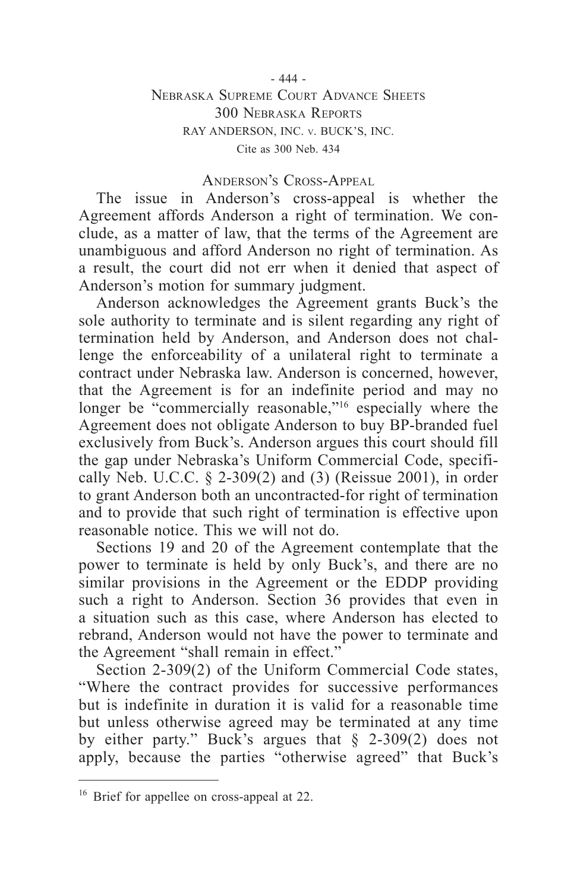#### - 444 -

### Nebraska Supreme Court Advance Sheets 300 Nebraska Reports RAY ANDERSON, INC. v. BUCK'S, INC. Cite as 300 Neb. 434

### Anderson's Cross-Appeal

The issue in Anderson's cross-appeal is whether the Agreement affords Anderson a right of termination. We conclude, as a matter of law, that the terms of the Agreement are unambiguous and afford Anderson no right of termination. As a result, the court did not err when it denied that aspect of Anderson's motion for summary judgment.

Anderson acknowledges the Agreement grants Buck's the sole authority to terminate and is silent regarding any right of termination held by Anderson, and Anderson does not challenge the enforceability of a unilateral right to terminate a contract under Nebraska law. Anderson is concerned, however, that the Agreement is for an indefinite period and may no longer be "commercially reasonable,"<sup>16</sup> especially where the Agreement does not obligate Anderson to buy BP-branded fuel exclusively from Buck's. Anderson argues this court should fill the gap under Nebraska's Uniform Commercial Code, specifically Neb. U.C.C. § 2-309(2) and (3) (Reissue 2001), in order to grant Anderson both an uncontracted-for right of termination and to provide that such right of termination is effective upon reasonable notice. This we will not do.

Sections 19 and 20 of the Agreement contemplate that the power to terminate is held by only Buck's, and there are no similar provisions in the Agreement or the EDDP providing such a right to Anderson. Section 36 provides that even in a situation such as this case, where Anderson has elected to rebrand, Anderson would not have the power to terminate and the Agreement "shall remain in effect."

Section 2-309(2) of the Uniform Commercial Code states, "Where the contract provides for successive performances but is indefinite in duration it is valid for a reasonable time but unless otherwise agreed may be terminated at any time by either party." Buck's argues that § 2-309(2) does not apply, because the parties "otherwise agreed" that Buck's

<sup>&</sup>lt;sup>16</sup> Brief for appellee on cross-appeal at 22.